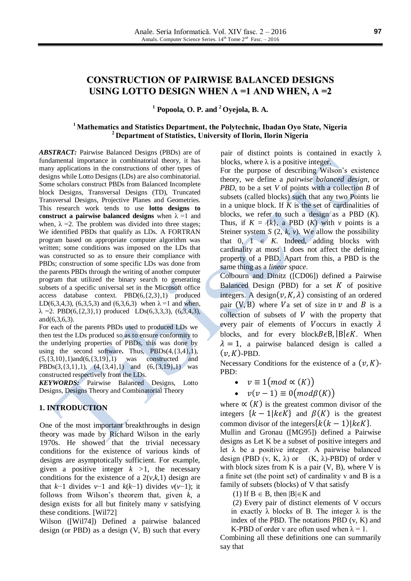# **CONSTRUCTION OF PAIRWISE BALANCED DESIGNS USING LOTTO DESIGN WHEN Λ =1 AND WHEN, Λ =2**

**<sup>1</sup> Popoola, O. P. and <sup>2</sup> Oyejola, B. A.**

#### **<sup>1</sup> Mathematics and Statistics Department, the Polytechnic, Ibadan Oyo State, Nigeria <sup>2</sup> Department of Statistics, University of Ilorin, Ilorin Nigeria**

*ABSTRACT:* Pairwise Balanced Designs (PBDs) are of fundamental importance in combinatorial theory, it has many applications in the constructions of other types of designs while Lotto Designs (LDs) are also combinatorial. Some scholars construct PBDs from Balanced Incomplete block Designs, Transversal Designs (TD), Truncated Transversal Designs, Projective Planes and Geometries. This research work tends to use **lotto designs to construct a pairwise balanced designs** when  $\lambda = 1$  and when,  $\lambda = 2$ . The problem was divided into three stages; We identified PBDs that qualify as LDs. A FORTRAN program based on appropriate computer algorithm was written; some conditions was imposed on the LDs that was constructed so as to ensure their compliance with PBDs; construction of some specific LDs was done from the parents PBDs through the writing of another computer program that utilized the binary search to generating subsets of a specific universal set in the Microsoft office access database context. PBD(6,{2,3},1) produced LD(6,3,4,3), (6,3,5,3) and (6,3,6,3) when  $\lambda = 1$  and when,  $\lambda = 2$ . PBD(6,{2,3},1) produced LDs(6,3,3,3), (6,3,4,3), and(6,3,6,3).

For each of the parents PBDs used to produced LDs we then test the LDs produced so as to ensure conformity to the underlying properties of PBDs, this was done by using the second software**.** Thus, PBDs(4,{3,4},1),  $(5,\{3,10\},1)$ and $(6,\{3,19\},1)$  was constructed and PBDs(3,{3,1},1),  $(4, {3,4},1)$  and  $(6, {3,19},1)$  was constructed respectively from the LDs.

*KEYWORDS:* Pairwise Balanced Designs, Lotto Designs, Designs Theory and Combinatorial Theory

#### **1. INTRODUCTION**

One of the most important breakthroughs in design theory was made by Richard Wilson in the early 1970s. He showed that the trivial necessary conditions for the existence of various kinds of designs are asymptotically sufficient. For example, given a positive integer  $k > 1$ , the necessary conditions for the existence of a  $2(v,k,1)$  design are that *k*−1 divides *v*−1 and *k*(*k*−1) divides *v*(*v*−1); it follows from Wilson's theorem that, given *k*, a design exists for all but finitely many *v* satisfying these conditions. [Wil72]

Wilson ([Wil74]) Defined a pairwise balanced design (or PBD) as a design  $(V, B)$  such that every pair of distinct points is contained in exactly  $\lambda$ blocks, where  $\lambda$  is a positive integer.

For the purpose of describing Wilson's existence theory, we define a *pairwise balanced design*, or *PBD*, to be a set *V* of points with a collection *B* of subsets (called blocks) such that any two Points lie in a unique block. If *K* is the set of cardinalities of blocks, we refer to such a design as a PBD (*K*). Thus, if  $K = \{k\}$ , a PBD  $(K)$  with  $\nu$  points is a Steiner system *S* (2,  $k$ ,  $v$ ). We allow the possibility that  $0, 1 \in K$ . Indeed, adding blocks with cardinality at most 1 does not affect the defining property of a PBD. Apart from this, a PBD is the same thing as a *linear space*.

Colbourn and Dinitz ([CD06]) defined a Pairwise Balanced Design (PBD) for a set  $K$  of positive integers. A design $(v, K, \lambda)$  consisting of an ordered pair (V, B) where Va set of size in  $\nu$  and B is a collection of subsets of  $V$  with the property that every pair of elements of Voccurs in exactly  $\lambda$ blocks, and for every block  $B \in B$ ,  $B \in K$ . When  $\lambda = 1$ , a pairwise balanced design is called a  $(v, K)$ -PBD.

Necessary Conditions for the existence of a  $(\nu, K)$ -PBD:

- $\bullet \quad v \equiv 1 \pmod{\alpha(K)}$
- $v(v-1) \equiv 0 \pmod{\beta(K)}$

where  $\propto$  (K) is the greatest common divisor of the integers  ${k-1|k\epsilon K}$  and  $\beta(K)$  is the greatest common divisor of the integers  $\{k(k-1)|k\in K\}$ .

Mullin and Gronau ([MG95]) defined a Pairwise designs as Let K be a subset of positive integers and let  $\lambda$  be a positive integer. A pairwise balanced design (PBD (v, K,  $\lambda$ ) or (K,  $\lambda$ )-PBD) of order v with block sizes from K is a pair  $(V, B)$ , where V is a finite set (the point set) of cardinality v and B is a family of subsets (blocks) of V that satisfy

(1) If  $B \in B$ , then  $|B| \in K$  and

(2) Every pair of distinct elements of V occurs in exactly  $\lambda$  blocks of B. The integer  $\lambda$  is the index of the PBD. The notations PBD (v, K) and K-PBD of order v are often used when  $\lambda = 1$ .

Combining all these definitions one can summarily say that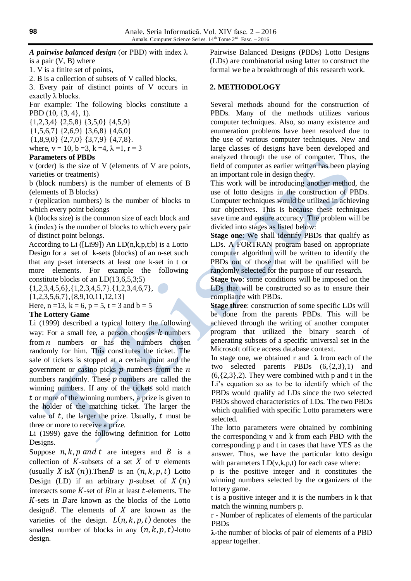*A pairwise balanced design* (or PBD) with index λ is a pair  $(V, B)$  where

1. V is a finite set of points,

2. B is a collection of subsets of V called blocks,

3. Every pair of distinct points of V occurs in exactly λ blocks.

For example: The following blocks constitute a PBD (10, {3, 4}, 1).

{1*,*2*,*3*,*4} {2*,*5*,*8} {3*,*5*,*0} {4*,*5*,*9} {1*,*5*,*6*,*7} {2*,*6*,*9} {3*,*6*,*8} {4*,*6*,*0} {1*,*8*,*9*,*0} {2*,*7*,*0} {3*,*7*,*9} {4*,*7*,*8}*.*

where,  $v = 10$ ,  $b = 3$ ,  $k = 4$ ,  $\lambda = 1$ ,  $r = 3$ 

#### **Parameters of PBDs**

v (order) is the size of V (elements of V are points, varieties or treatments)

b (block numbers) is the number of elements of B (elements of B blocks)

r (replication numbers) is the number of blocks to which every point belongs

k (blocks size) is the common size of each block and  $\lambda$  (index) is the number of blocks to which every pair of distinct point belongs.

According to Li ([Li99]) An  $LD(n,k,p,t;b)$  is a Lotto Design for a set of k-sets (blocks) of an n-set such that any p-set intersects at least one k-set in t or more elements. For example the following constitute blocks of an LD(13,6,5,3;5)

 $\{1,2,3,4,5,6\}, \{1,2,3,4,5,7\}, \{1,2,3,4,6,7\},\$ 

{1,2,3,5,6,7},{8,9,10,11,12,13}

Here,  $n = 13$ ,  $k = 6$ ,  $p = 5$ ,  $t = 3$  and  $b = 5$ 

#### **The Lottery Game**

Li (1999) described a typical lottery the following way: For a small fee, a person chooses  $k$  numbers from  $n$  numbers or has the numbers chosen randomly for him. This constitutes the ticket. The sale of tickets is stopped at a certain point and the government or casino picks  $p$  numbers from the  $n$ numbers randomly. These  $\hat{p}$  numbers are called the winning numbers. If any of the tickets sold match  $t$  or more of the winning numbers, a prize is given to the holder of the matching ticket. The larger the value of  $t$ , the larger the prize. Usually,  $t$  must be three or more to receive a prize.

Li (1999) gave the following definition for Lotto Designs.

Suppose  $n, k, p$  and t are integers and B is a collection of K-subsets of a set X of  $\nu$  elements (usually X is X  $(n)$ ). Then B is an  $(n, k, p, t)$  Lotto Design (LD) if an arbitrary p-subset of  $X(n)$ intersects some  $K$ -set of  $B$  in at least  $t$ -elements. The  $K$ -sets in Bare known as the blocks of the Lotto design $B$ . The elements of  $X$  are known as the varieties of the design.  $L(n, k, p, t)$  denotes the smallest number of blocks in any  $(n, k, p, t)$ -lotto design.

Pairwise Balanced Designs (PBDs) Lotto Designs (LDs) are combinatorial using latter to construct the formal we be a breakthrough of this research work.

#### **2. METHODOLOGY**

Several methods abound for the construction of PBDs. Many of the methods utilizes various computer techniques. Also, so many existence and enumeration problems have been resolved due to the use of various computer techniques. New and large classes of designs have been developed and analyzed through the use of computer. Thus, the field of computer as earlier written has been playing an important role in design theory.

This work will be introducing another method, the use of lotto designs in the construction of PBDs. Computer techniques would be utilized in achieving our objectives. This is because these techniques save time and ensure accuracy. The problem will be divided into stages as listed below:

**Stage one:** We shall identify PBDs that qualify as LDs. A FORTRAN program based on appropriate computer algorithm will be written to identify the PBDs out of those that will be qualified will be randomly selected for the purpose of our research.

**Stage two**: some conditions will be imposed on the LDs that will be constructed so as to ensure their compliance with PBDs.

**Stage three**: construction of some specific LDs will be done from the parents PBDs. This will be achieved through the writing of another computer program that utilized the binary search of generating subsets of a specific universal set in the Microsoft office access database context.

In stage one, we obtained r and **λ** from each of the two selected parents PBDs (6,{2,3},1) and  $(6, {2,3}, 2)$ . They were combined with p and t in the Li's equation so as to be to identify which of the PBDs would qualify ad LDs since the two selected PBDs showed characteristics of LDs. The two PBDs which qualified with specific Lotto parameters were selected.

The lotto parameters were obtained by combining the corresponding v and k from each PBD with the corresponding p and t in cases that have YES as the answer. Thus, we have the particular lotto design with parameters  $LD(v,k,p,t)$  for each case where:

p is the positive integer and it constitutes the winning numbers selected by the organizers of the lottery game.

t is a positive integer and it is the numbers in k that match the winning numbers p.

r - Number of replicates of elements of the particular PBDs

**λ-**the number of blocks of pair of elements of a PBD appear together.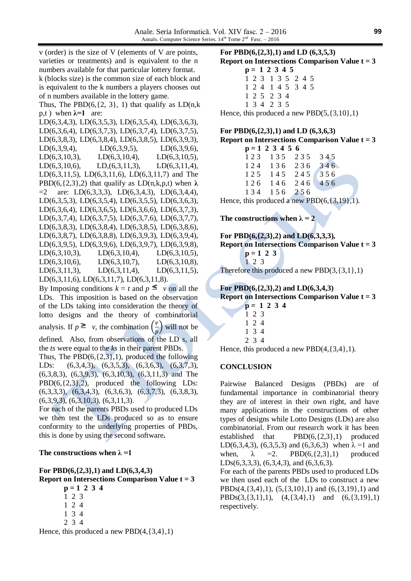v (order) is the size of V (elements of V are points, varieties or treatments) and is equivalent to the n numbers available for that particular lottery format. k (blocks size) is the common size of each block and is equivalent to the k numbers a players chooses out of n numbers available in the lottery game. Thus, The PBD $(6, \{2, 3\}, 1)$  that qualify as  $LD(n, k)$ p,t) when  $λ=1$  are: LD(6,3,4,3), LD(6,3,5,3), LD(6,3,5,4), LD(6,3,6,3), LD(6,3,6,4), LD(6,3,7,3), LD(6,3,7,4), LD(6,3,7,5), LD(6,3,8,3), LD(6,3,8,4), LD(6,3,8,5), LD(6,3,9,3), LD(6,3,9,4), LD(6,3,9,5), LD(6,3,9,6), LD(6,3,10,3), LD(6,3,10,4), LD(6,3,10,5), LD(6,3,10,6), LD(6,3,11,3), LD(6,3,11,4), LD(6,3,11,5), LD(6,3,11,6), LD(6,3,11,7) and The PBD(6, $\{2,3\}$ ,2) that qualify as LD(n,k,p,t) when  $\lambda$  $=2$  are: LD(6,3,3,3), LD(6,3,4,3), LD(6,3,4,4), LD(6,3,5,3), LD(6,3,5,4), LD(6,3,5,5), LD(6,3,6,3), LD(6,3,6,4), LD(6,3,6,5), LD(6,3,6,6), LD(6,3,7,3), LD(6,3,7,4), LD(6,3,7,5), LD(6,3,7,6), LD(6,3,7,7), LD(6,3,8,3), LD(6,3,8,4), LD(6,3,8,5), LD(6,3,8,6), LD(6,3,8,7), LD(6,3,8,8), LD(6,3,9,3), LD(6,3,9,4), LD(6,3,9,5), LD(6,3,9,6), LD(6,3,9,7), LD(6,3,9,8), LD(6,3,10,3), LD(6,3,10,4), LD(6,3,10,5), LD(6,3,10,6), LD(6,3,10,7), LD(6,3,10,8), LD(6,3,11,3), LD(6,3,11,4), LD(6,3,11,5), LD(6,3,11,6), LD(6,3,11,7), LD(6,3,11,8). By Imposing conditions  $k = t$  and  $p \leq v$  on all the LDs. This imposition is based on the observation

of the LDs taking into consideration the theory of lotto designs and the theory of combinatorial analysis. If  $p \geq \nu$ , the combination  $\left(\frac{\nu}{\nu}\right)$  $\overline{p}$ will not be defined. Also, from observations of the LD s, all the *ts* were equal to the *ks* in their parent PBDs. Thus, The  $PBD(6, {2,3}, 1)$ , produced the following

LDs: (6,3,4,3), (6,3,5,3), (6,3,6,3), (6,3,7,3), (6,3,8,3), (6,3,9,3), (6,3,10,3), (6,3,11,3) and The  $PBD(6, {2,3}, 2)$ , produced the following LDs: (6,3,3,3), (6,3,4,3), (6,3,6,3), (6,3,7,3), (6,3,8,3), (6,3,9,3), (6,3,10,3), (6,3,11,3).

For each of the parents PBDs used to produced LDs we then test the LDs produced so as to ensure conformity to the underlying properties of PBDs, this is done by using the second software**.**

#### The constructions when  $\lambda = 1$

**For PBD(6,{2,3},1) and LD(6,3,4,3) Report on Intersections Comparison Value t = 3 p = 1 2 3 4**

1 2 3 1 2 4

- 1 3 4
- 2 3 4

Hence, this produced a new  $PBD(4,\{3,4\},1)$ 

**For PBD(6,{2,3},1) and LD (6,3,5,3) Report on Intersections Comparison Value t = 3** 

**p = 1 2 3 4 5** 1 2 3 1 3 5 2 4 5 1 2 4 1 4 5 3 4 5 1 2 5 2 3 4 1 3 4 2 3 5

Hence, this produced a new  $PBD(5,\{3,10\},1)$ 

# **For PBD(6,{2,3},1) and LD (6,3,6,3)**

|                   |  |  | Report on Intersections Comparison Value $t = 3$ |  |
|-------------------|--|--|--------------------------------------------------|--|
| $p = 1 2 3 4 5 6$ |  |  |                                                  |  |

|  | <u>ט כ ד כ ד ר</u> ח |     |
|--|----------------------|-----|
|  | 123 135 235 345      |     |
|  | 124 136 236          | 346 |
|  | 125 145 245 356      |     |
|  | 126 146 246          | 456 |
|  | 134 156 256          |     |
|  |                      |     |

Hence, this produced a new PBD(6, {3,19},1).

## The constructions when  $\lambda = 2$

**For PBD(6,{2,3},2) and LD(6,3,3,3), Report on Intersections Comparison Value t = 3 p = 1 2 3** 1 2 3

Therefore this produced a new  $PBD(3,\{3,1\},1)$ 

#### **For PBD(6,{2,3},2) and LD(6,3,4,3)**

**p = 1 2 3 4**

**Report on Intersections Comparison Value t = 3**

| $p = 1, 2$  |  |
|-------------|--|
| 1 2 3       |  |
| $1 \t2 \t4$ |  |
| 1 3 4       |  |

2 3 4

Hence, this produced a new  $PBD(4,\{3,4\},1)$ .

## **CONCLUSION**

Pairwise Balanced Designs (PBDs) are of fundamental importance in combinatorial theory they are of interest in their own right, and have many applications in the constructions of other types of designs while Lotto Designs (LDs) are also combinatorial. From our research work it has been established that  $PBD(6,\{2,3\},1)$  produced LD(6,3,4,3), (6,3,5,3) and (6,3,6,3) when  $\lambda = 1$  and when,  $\lambda$  =2. PBD(6,{2,3},1) produced LDs(6,3,3,3), (6,3,4,3), and (6,3,6,3).

For each of the parents PBDs used to produced LDs we then used each of the LDs to construct a new  $PBDs(4,\{3,4\},1), (5,\{3,10\},1)$  and  $(6,\{3,19\},1)$  and  $PBDs(3,\{3,1\},1), (4,\{3,4\},1)$  and  $(6,\{3,19\},1)$ respectively.